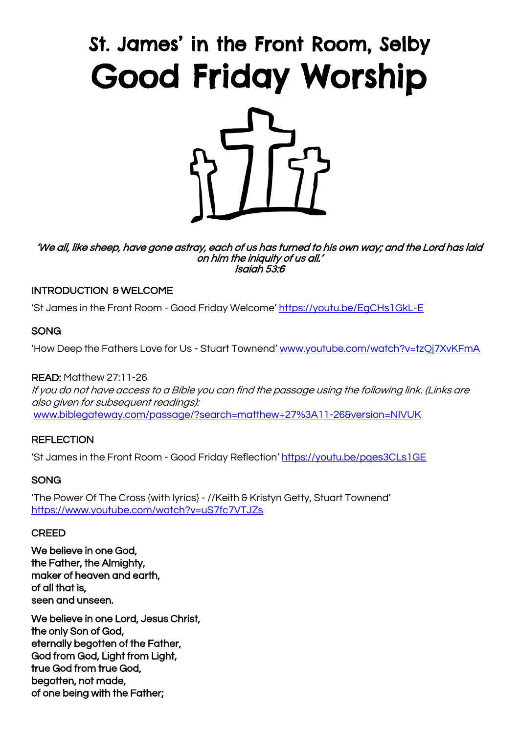# St. James' in the Front Room, Selby Good Friday Worship



'We all, like sheep, have gone astray, each of us has turned to his own way; and the Lord has laid on him the iniquity of us all.' Isaiah 53:6

## INTRODUCTION & WELCOME

'St James in the Front Room - Good Friday Welcome' https://youtu.be/EqCHs1GkL-E

## **SONG**

'How Deep the Fathers Love for Us - Stuart Townend' [www.youtube.com/watch?v=tzQj7XvKFmA](http://www.youtube.com/watch?v=tzQj7XvKFmA)

## READ: Matthew 27:11-26

If you do not have access to a Bible you can find the passage using the following link. (Links are also given for subsequent readings): www.biblegateway.com/passage/?search=matthew+27%3A11-26&version=NIVUK

## **REFLECTION**

'St James in the Front Room - Good Friday Reflection' <https://youtu.be/pqes3CLs1GE>

## SONG

'The Power Of The Cross {with lyrics} - //Keith & Kristyn Getty, Stuart Townend' <https://www.youtube.com/watch?v=uS7fc7VTJZs>

## **CREED**

We believe in one God, the Father, the Almighty, maker of heaven and earth, of all that is, seen and unseen.

We believe in one Lord, Jesus Christ, the only Son of God, eternally begotten of the Father, God from God, Light from Light, true God from true God, begotten, not made, of one being with the Father;